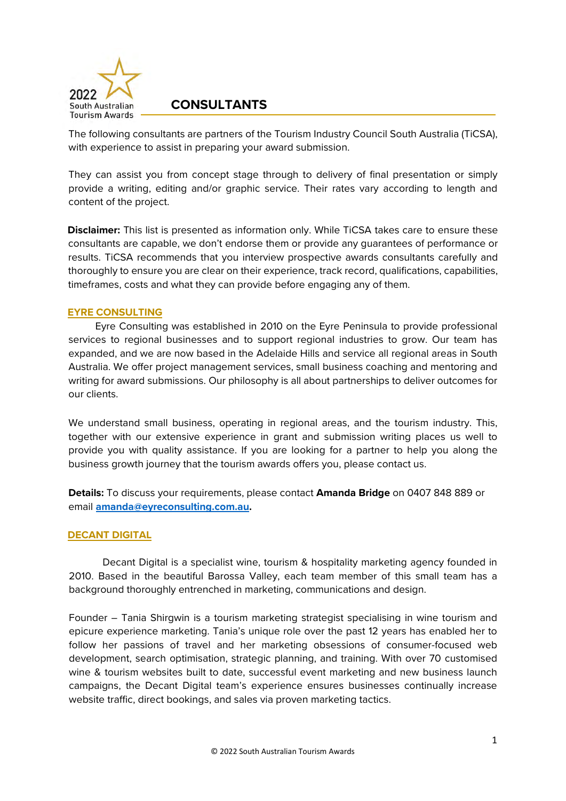

The following consultants are partners of the Tourism Industry Council South Australia (TiCSA), with experience to assist in preparing your award submission.

They can assist you from concept stage through to delivery of final presentation or simply provide a writing, editing and/or graphic service. Their rates vary according to length and content of the project.

**Disclaimer:** This list is presented as information only. While TiCSA takes care to ensure these consultants are capable, we don't endorse them or provide any guarantees of performance or results. TiCSA recommends that you interview prospective awards consultants carefully and thoroughly to ensure you are clear on their experience, track record, qualifications, capabilities, timeframes, costs and what they can provide before engaging any of them.

## **EYRE CONSULTING**

Eyre Consulting was established in 2010 on the Eyre Peninsula to provide professional services to regional businesses and to support regional industries to grow. Our team has expanded, and we are now based in the Adelaide Hills and service all regional areas in South Australia. We offer project management services, small business coaching and mentoring and writing for award submissions. Our philosophy is all about partnerships to deliver outcomes for our clients.

We understand small business, operating in regional areas, and the tourism industry. This, together with our extensive experience in grant and submission writing places us well to provide you with quality assistance. If you are looking for a partner to help you along the business growth journey that the tourism awards offers you, please contact us.

**Details:** To discuss your requirements, please contact **Amanda Bridge** on 0407 848 889 or email **[amanda@eyreconsulting.com.au.](mailto:amanda@eyreconsulting.com.au)** 

## **DECANT DIGITAL**

Decant Digital is a specialist wine, tourism & hospitality marketing agency founded in 2010. Based in the beautiful Barossa Valley, each team member of this small team has a background thoroughly entrenched in marketing, communications and design.

Founder – Tania Shirgwin is a tourism marketing strategist specialising in wine tourism and epicure experience marketing. Tania's unique role over the past 12 years has enabled her to follow her passions of travel and her marketing obsessions of consumer-focused web development, search optimisation, strategic planning, and training. With over 70 customised wine & tourism websites built to date, successful event marketing and new business launch campaigns, the Decant Digital team's experience ensures businesses continually increase website traffic, direct bookings, and sales via proven marketing tactics.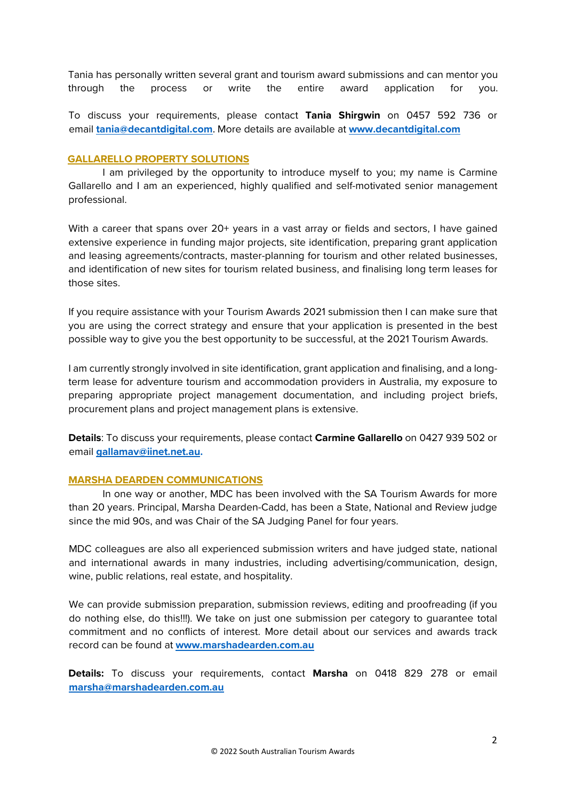Tania has personally written several grant and tourism award submissions and can mentor you through the process or write the entire award application for you.

To discuss your requirements, please contact **Tania Shirgwin** on 0457 592 736 or email **[tania@decantdigital.com](mailto:tania@decantdigital.com)**. More details are available at **[www.decantdigital.com](https://www.decantdigital.com/)**

## **GALLARELLO PROPERTY SOLUTIONS**

I am privileged by the opportunity to introduce myself to you; my name is Carmine Gallarello and I am an experienced, highly qualified and self-motivated senior management professional.

With a career that spans over 20+ years in a vast array or fields and sectors, I have gained extensive experience in funding major projects, site identification, preparing grant application and leasing agreements/contracts, master-planning for tourism and other related businesses, and identification of new sites for tourism related business, and finalising long term leases for those sites.

If you require assistance with your Tourism Awards 2021 submission then I can make sure that you are using the correct strategy and ensure that your application is presented in the best possible way to give you the best opportunity to be successful, at the 2021 Tourism Awards.

I am currently strongly involved in site identification, grant application and finalising, and a longterm lease for adventure tourism and accommodation providers in Australia, my exposure to preparing appropriate project management documentation, and including project briefs, procurement plans and project management plans is extensive.

**Details**: To discuss your requirements, please contact **Carmine Gallarello** on 0427 939 502 or email **[gallamav@iinet.net.au.](mailto:gallamav@iinet.net.au)** 

# **MARSHA DEARDEN COMMUNICATIONS**

In one way or another, MDC has been involved with the SA Tourism Awards for more than 20 years. Principal, Marsha Dearden-Cadd, has been a State, National and Review judge since the mid 90s, and was Chair of the SA Judging Panel for four years.

MDC colleagues are also all experienced submission writers and have judged state, national and international awards in many industries, including advertising/communication, design, wine, public relations, real estate, and hospitality.

We can provide submission preparation, submission reviews, editing and proofreading (if you do nothing else, do this!!!). We take on just one submission per category to guarantee total commitment and no conflicts of interest. More detail about our services and awards track record can be found at **[www.marshadearden.com.au](http://www.marshadearden.com.au/)**

**Details:** To discuss your requirements, contact **Marsha** on 0418 829 278 or email **[marsha@marshadearden.com.au](mailto:marsha@marshadearden.com.au)**